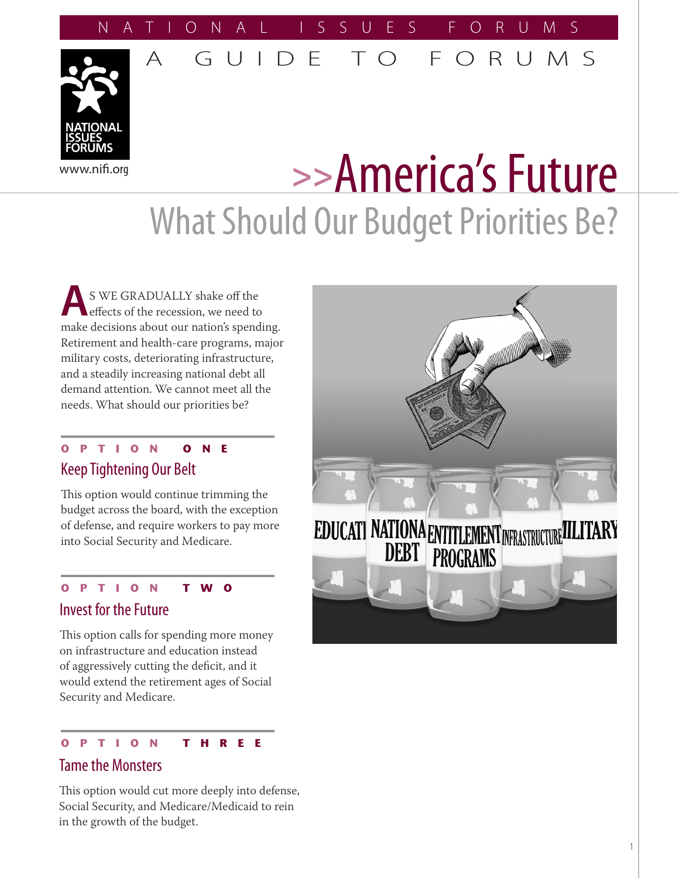### NATIONAL ISSUES FORUMS

A GUIDE TO FORUMS

# www.nifi.org **>>**America's Future What Should Our Budget Priorities Be?

**A**S WE GRADUALLY shake off the effects of the recession, we need to make decisions about our nation's spending. Retirement and health-care programs, major military costs, deteriorating infrastructure, and a steadily increasing national debt all demand attention. We cannot meet all the needs. What should our priorities be?

#### **OPTION ONE** Keep Tightening Our Belt

This option would continue trimming the budget across the board, with the exception of defense, and require workers to pay more into Social Security and Medicare.

#### **OPTION TWO**

#### Invest for the Future

This option calls for spending more money on infrastructure and education instead of aggressively cutting the deficit, and it would extend the retirement ages of Social Security and Medicare.

#### **OPTION THREE**

#### Tame the Monsters

This option would cut more deeply into defense, Social Security, and Medicare/Medicaid to rein in the growth of the budget.



#### 1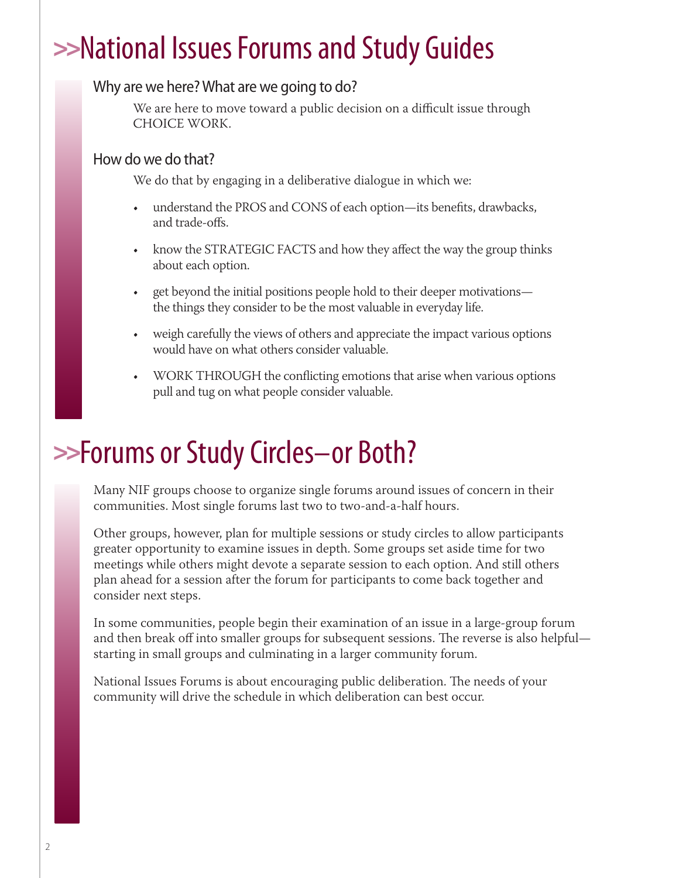## >>National Issues Forums and Study Guides

#### Why are we here? What are we going to do?

We are here to move toward a public decision on a difficult issue through CHOICE WORK.

#### How do we do that?

We do that by engaging in a deliberative dialogue in which we:

- understand the PROS and CONS of each option—its benefits, drawbacks, and trade-offs.
- know the STRATEGIC FACTS and how they affect the way the group thinks about each option.
- get beyond the initial positions people hold to their deeper motivations the things they consider to be the most valuable in everyday life.
- weigh carefully the views of others and appreciate the impact various options would have on what others consider valuable.
- WORK THROUGH the conflicting emotions that arise when various options pull and tug on what people consider valuable.

### >>Forums or Study Circles–or Both?

Many NIF groups choose to organize single forums around issues of concern in their communities. Most single forums last two to two-and-a-half hours.

Other groups, however, plan for multiple sessions or study circles to allow participants greater opportunity to examine issues in depth. Some groups set aside time for two meetings while others might devote a separate session to each option. And still others plan ahead for a session after the forum for participants to come back together and consider next steps.

In some communities, people begin their examination of an issue in a large-group forum and then break off into smaller groups for subsequent sessions. The reverse is also helpful starting in small groups and culminating in a larger community forum.

National Issues Forums is about encouraging public deliberation. The needs of your community will drive the schedule in which deliberation can best occur.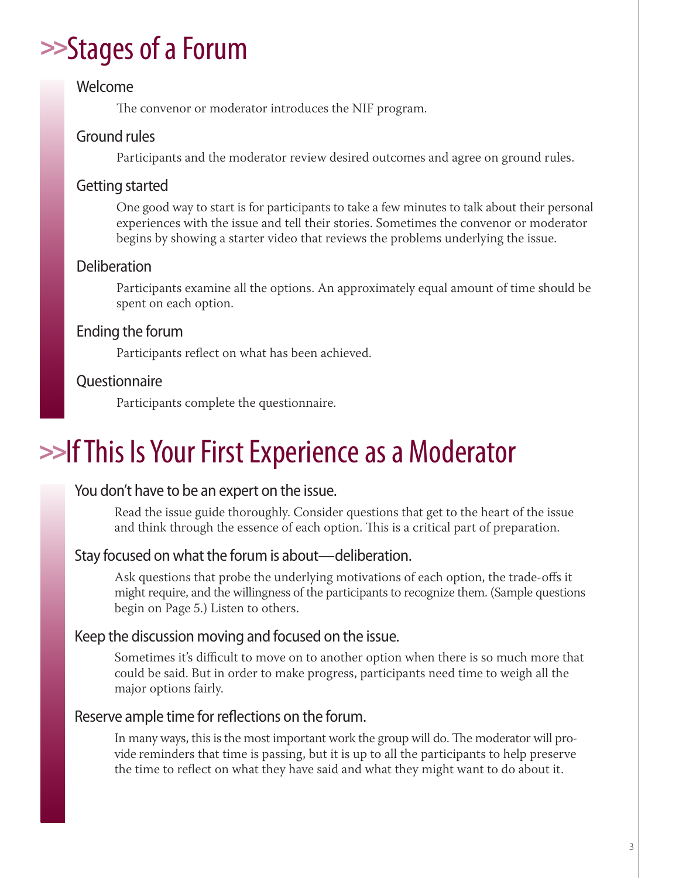### >>Stages of a Forum

#### Welcome

The convenor or moderator introduces the NIF program.

#### Ground rules

Participants and the moderator review desired outcomes and agree on ground rules.

#### Getting started

One good way to start is for participants to take a few minutes to talk about their personal experiences with the issue and tell their stories. Sometimes the convenor or moderator begins by showing a starter video that reviews the problems underlying the issue.

#### Deliberation

Participants examine all the options. An approximately equal amount of time should be spent on each option.

#### Ending the forum

Participants reflect on what has been achieved.

#### **Ouestionnaire**

Participants complete the questionnaire.

### >>If This Is Your First Experience as a Moderator

#### You don't have to be an expert on the issue.

Read the issue guide thoroughly. Consider questions that get to the heart of the issue and think through the essence of each option. This is a critical part of preparation.

#### Stay focused on what the forum is about—deliberation.

Ask questions that probe the underlying motivations of each option, the trade-offs it might require, and the willingness of the participants to recognize them. (Sample questions begin on Page 5.) Listen to others.

#### Keep the discussion moving and focused on the issue.

Sometimes it's difficult to move on to another option when there is so much more that could be said. But in order to make progress, participants need time to weigh all the major options fairly.

#### Reserve ample time for reflections on the forum.

In many ways, this is the most important work the group will do. The moderator will provide reminders that time is passing, but it is up to all the participants to help preserve the time to reflect on what they have said and what they might want to do about it.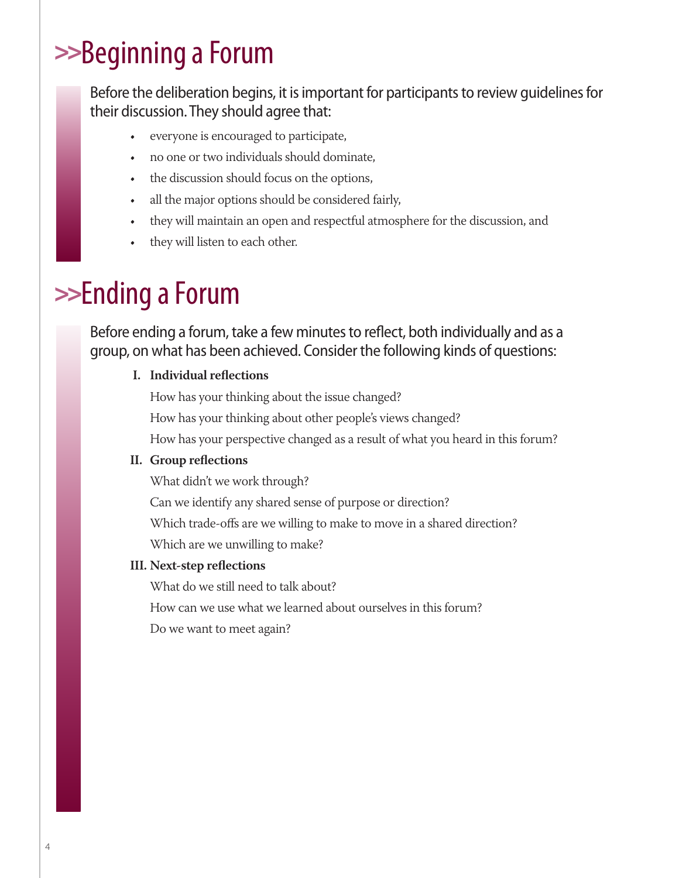## >>Beginning a Forum

Before the deliberation begins, it is important for participants to review guidelines for their discussion. They should agree that:

- everyone is encouraged to participate,
- no one or two individuals should dominate,
- the discussion should focus on the options,
- all the major options should be considered fairly,
- they will maintain an open and respectful atmosphere for the discussion, and
- they will listen to each other.

### >>Ending a Forum

Before ending a forum, take a few minutes to reflect, both individually and as a group, on what has been achieved. Consider the following kinds of questions:

#### **I. Individual reflections**

How has your thinking about the issue changed? How has your thinking about other people's views changed? How has your perspective changed as a result of what you heard in this forum?

#### **II. Group reflections**

What didn't we work through?

Can we identify any shared sense of purpose or direction?

Which trade-offs are we willing to make to move in a shared direction?

Which are we unwilling to make?

#### **III. Next-step reflections**

What do we still need to talk about?

How can we use what we learned about ourselves in this forum?

Do we want to meet again?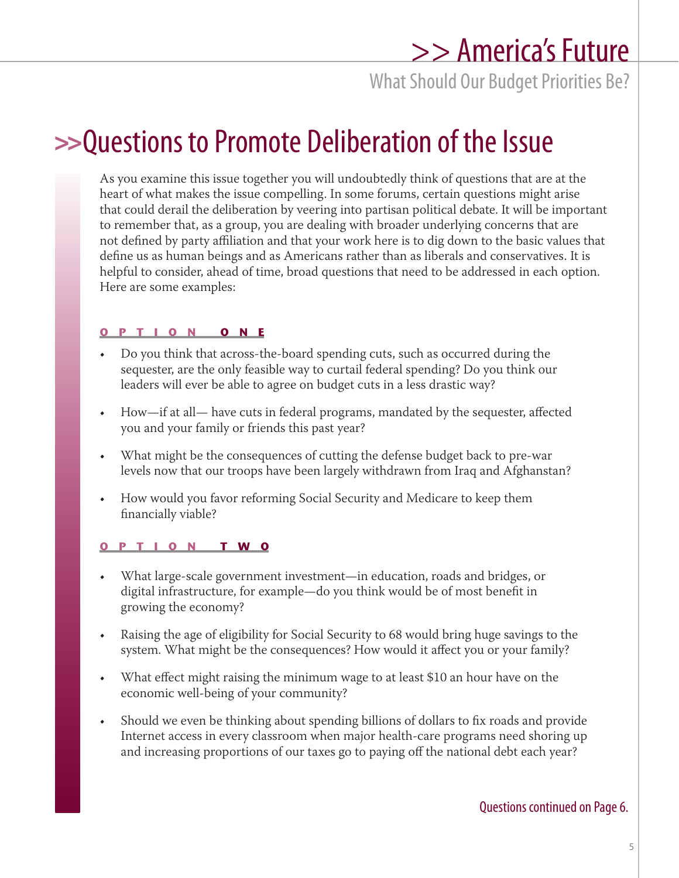### >> America's Future

What Should Our Budget Priorities Be?

### >>Questions to Promote Deliberation of the Issue

As you examine this issue together you will undoubtedly think of questions that are at the heart of what makes the issue compelling. In some forums, certain questions might arise that could derail the deliberation by veering into partisan political debate. It will be important to remember that, as a group, you are dealing with broader underlying concerns that are not defined by party affiliation and that your work here is to dig down to the basic values that define us as human beings and as Americans rather than as liberals and conservatives. It is helpful to consider, ahead of time, broad questions that need to be addressed in each option. Here are some examples:

#### **OPTION ONE**

- Do you think that across-the-board spending cuts, such as occurred during the sequester, are the only feasible way to curtail federal spending? Do you think our leaders will ever be able to agree on budget cuts in a less drastic way?
- How—if at all— have cuts in federal programs, mandated by the sequester, affected you and your family or friends this past year?
- What might be the consequences of cutting the defense budget back to pre-war levels now that our troops have been largely withdrawn from Iraq and Afghanstan?
- How would you favor reforming Social Security and Medicare to keep them financially viable?

#### **OPTION TWO**

- What large-scale government investment—in education, roads and bridges, or digital infrastructure, for example—do you think would be of most benefit in growing the economy?
- Raising the age of eligibility for Social Security to 68 would bring huge savings to the system. What might be the consequences? How would it affect you or your family?
- What effect might raising the minimum wage to at least \$10 an hour have on the economic well-being of your community?
- Should we even be thinking about spending billions of dollars to fix roads and provide Internet access in every classroom when major health-care programs need shoring up and increasing proportions of our taxes go to paying off the national debt each year?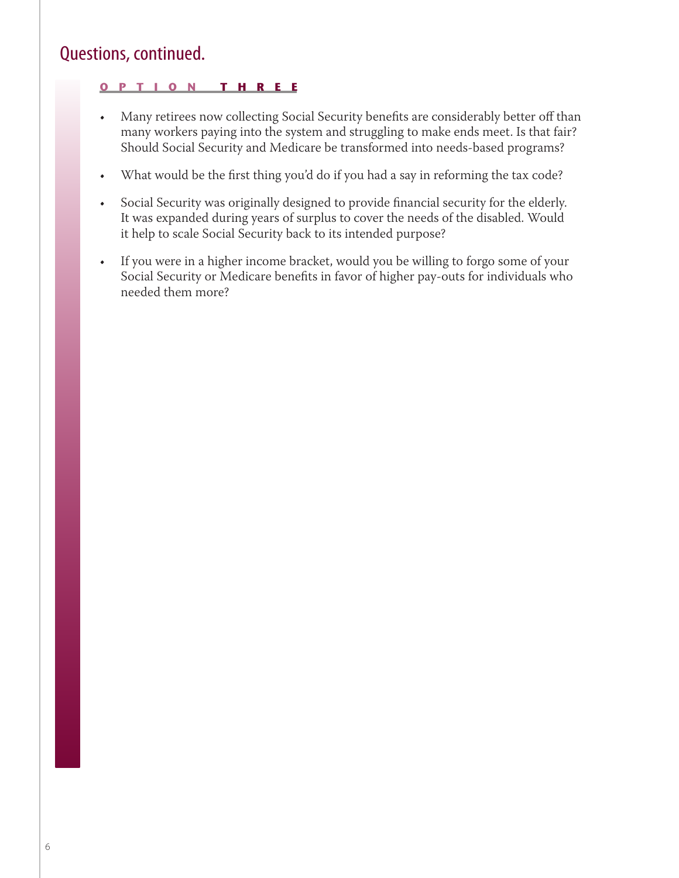#### Questions, continued.

#### **OPTION THREE**

- Many retirees now collecting Social Security benefits are considerably better off than many workers paying into the system and struggling to make ends meet. Is that fair? Should Social Security and Medicare be transformed into needs-based programs?
- What would be the first thing you'd do if you had a say in reforming the tax code?
- Social Security was originally designed to provide financial security for the elderly. It was expanded during years of surplus to cover the needs of the disabled. Would it help to scale Social Security back to its intended purpose?
- If you were in a higher income bracket, would you be willing to forgo some of your Social Security or Medicare benefits in favor of higher pay-outs for individuals who needed them more?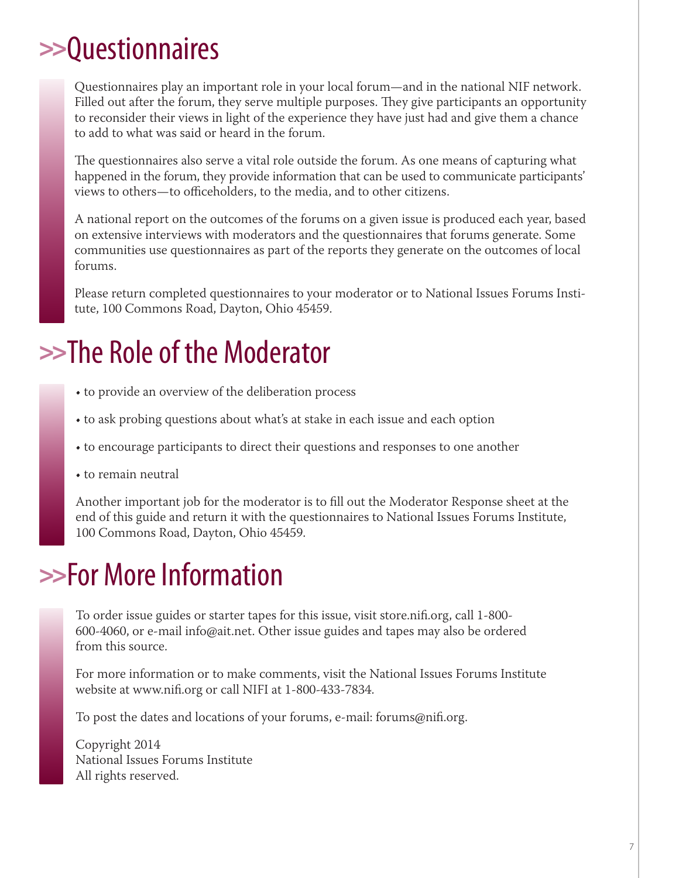### >> Questionnaires

Questionnaires play an important role in your local forum—and in the national NIF network. Filled out after the forum, they serve multiple purposes. They give participants an opportunity to reconsider their views in light of the experience they have just had and give them a chance to add to what was said or heard in the forum.

The questionnaires also serve a vital role outside the forum. As one means of capturing what happened in the forum, they provide information that can be used to communicate participants' views to others—to officeholders, to the media, and to other citizens.

A national report on the outcomes of the forums on a given issue is produced each year, based on extensive interviews with moderators and the questionnaires that forums generate. Some communities use questionnaires as part of the reports they generate on the outcomes of local forums.

Please return completed questionnaires to your moderator or to National Issues Forums Institute, 100 Commons Road, Dayton, Ohio 45459.

### >>The Role of the Moderator

- to provide an overview of the deliberation process
- to ask probing questions about what's at stake in each issue and each option
- to encourage participants to direct their questions and responses to one another
- to remain neutral

Another important job for the moderator is to fill out the Moderator Response sheet at the end of this guide and return it with the questionnaires to National Issues Forums Institute, 100 Commons Road, Dayton, Ohio 45459.

### >>For More Information

To order issue guides or starter tapes for this issue, visit store.nifi.org, call 1-800- 600-4060, or e-mail info@ait.net. Other issue guides and tapes may also be ordered from this source.

For more information or to make comments, visit the National Issues Forums Institute website at www.nifi.org or call NIFI at 1-800-433-7834.

To post the dates and locations of your forums, e-mail: forums@nifi.org.

Copyright 2014 National Issues Forums Institute All rights reserved.